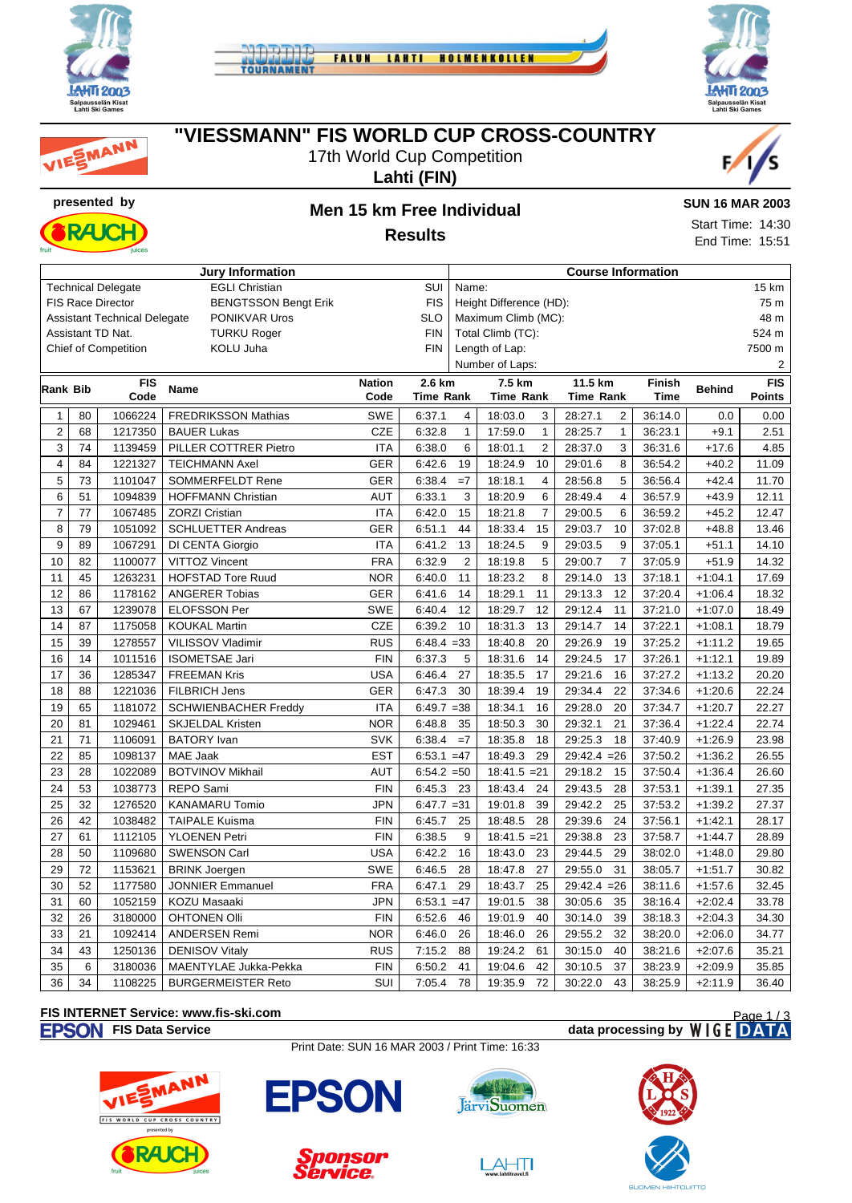







### **"VIESSMANN" FIS WORLD CUP CROSS-COUNTRY**

17th World Cup Competition





## **Lahti (FIN)**

**Results**

#### **SUN 16 MAR 2003**

Start Time: 14:30 End Time: 15:51

| <b>Jury Information</b>                            |                 |                                     |                             |               |               | <b>Course Information</b> |                           |                           |             |               |                  |  |
|----------------------------------------------------|-----------------|-------------------------------------|-----------------------------|---------------|---------------|---------------------------|---------------------------|---------------------------|-------------|---------------|------------------|--|
| <b>Technical Delegate</b><br><b>EGLI Christian</b> |                 |                                     |                             |               | SUI           | 15 km<br>Name:            |                           |                           |             |               |                  |  |
|                                                    |                 | FIS Race Director                   | <b>BENGTSSON Bengt Erik</b> |               | <b>FIS</b>    |                           | Height Difference (HD):   |                           |             |               | 75 m             |  |
|                                                    |                 | <b>Assistant Technical Delegate</b> | PONIKVAR Uros               |               | <b>SLO</b>    |                           | Maximum Climb (MC):       |                           | 48 m        |               |                  |  |
|                                                    |                 | Assistant TD Nat.                   | <b>TURKU Roger</b>          |               | <b>FIN</b>    |                           | Total Climb (TC):         |                           |             |               | 524 m            |  |
|                                                    |                 | <b>Chief of Competition</b>         | KOLU Juha                   |               | <b>FIN</b>    | Length of Lap:            |                           |                           |             |               | 7500 m           |  |
|                                                    |                 |                                     |                             |               |               |                           | Number of Laps:           |                           |             |               | 2                |  |
| Rank Bib                                           |                 | <b>FIS</b>                          | <b>Name</b>                 | <b>Nation</b> | 2.6 km        |                           | 7.5 km                    | 11.5 km<br>Finish         |             | <b>Behind</b> | $\overline{FIS}$ |  |
|                                                    |                 | Code                                |                             | Code          | Time Rank     |                           | <b>Time Rank</b>          | <b>Time Rank</b>          | <b>Time</b> |               | Points           |  |
| $\mathbf{1}$                                       | 80              | 1066224                             | <b>FREDRIKSSON Mathias</b>  | <b>SWE</b>    | 6:37.1        | 4                         | 18:03.0<br>3              | 28:27.1<br>2              | 36:14.0     | 0.0           | 0.00             |  |
| $\overline{2}$                                     | 68              | 1217350                             | <b>BAUER Lukas</b>          | <b>CZE</b>    | 6:32.8        | $\mathbf{1}$              | 17:59.0<br>$\mathbf{1}$   | 28:25.7<br>$\mathbf{1}$   | 36:23.1     | $+9.1$        | 2.51             |  |
| 3                                                  | 74              | 1139459                             | PILLER COTTRER Pietro       | <b>ITA</b>    | 6:38.0        | 6                         | 18:01.1<br>2              | 3<br>28:37.0              | 36:31.6     | $+17.6$       | 4.85             |  |
| 4                                                  | 84              | 1221327                             | <b>TEICHMANN Axel</b>       | <b>GER</b>    | 6:42.6        | 19                        | 18:24.9<br>10             | 29:01.6<br>8              | 36:54.2     | $+40.2$       | 11.09            |  |
| 5                                                  | 73              | 1101047                             | SOMMERFELDT Rene            | <b>GER</b>    | 6:38.4        | $=7$                      | 18:18.1<br>4              | 5<br>28:56.8              | 36:56.4     | $+42.4$       | 11.70            |  |
| 6                                                  | 51              | 1094839                             | <b>HOFFMANN Christian</b>   | <b>AUT</b>    | 6:33.1        | 3                         | 18:20.9<br>6              | $\overline{4}$<br>28:49.4 | 36:57.9     | $+43.9$       | 12.11            |  |
| $\overline{7}$                                     | 77              | 1067485                             | <b>ZORZI Cristian</b>       | <b>ITA</b>    | 6:42.0        | 15                        | $\overline{7}$<br>18:21.8 | 29:00.5<br>6              | 36:59.2     | $+45.2$       | 12.47            |  |
| 8                                                  | 79              | 1051092                             | <b>SCHLUETTER Andreas</b>   | <b>GER</b>    | 6:51.1        | 44                        | 18:33.4<br>15             | 29:03.7<br>10             | 37:02.8     | $+48.8$       | 13.46            |  |
| 9                                                  | 89              | 1067291                             | DI CENTA Giorgio            | <b>ITA</b>    | 6:41.2        | 13                        | 18:24.5<br>9              | 9<br>29:03.5              | 37:05.1     | $+51.1$       | 14.10            |  |
| 10                                                 | 82              | 1100077                             | <b>VITTOZ Vincent</b>       | <b>FRA</b>    | 6:32.9        | $\overline{2}$            | 5<br>18:19.8              | $\overline{7}$<br>29:00.7 | 37:05.9     | $+51.9$       | 14.32            |  |
| 11                                                 | 45              | 1263231                             | <b>HOFSTAD Tore Ruud</b>    | <b>NOR</b>    | 6:40.0        | 11                        | 18:23.2<br>8              | 29:14.0<br>13             | 37:18.1     | $+1:04.1$     | 17.69            |  |
| 12                                                 | 86              | 1178162                             | <b>ANGERER Tobias</b>       | <b>GER</b>    | 6:41.6        | 14                        | 18:29.1<br>11             | 12<br>29:13.3             | 37:20.4     | $+1:06.4$     | 18.32            |  |
| 13                                                 | 67              | 1239078                             | <b>ELOFSSON Per</b>         | SWE           | 6:40.4        | 12                        | 18:29.7<br>12             | 29:12.4<br>11             | 37:21.0     | $+1:07.0$     | 18.49            |  |
| 14                                                 | 87              | 1175058                             | <b>KOUKAL Martin</b>        | <b>CZE</b>    | 6:39.2        | 10                        | 18:31.3<br>13             | 29:14.7<br>14             | 37:22.1     | $+1:08.1$     | 18.79            |  |
| 15                                                 | 39              | 1278557                             | VILISSOV Vladimir           | <b>RUS</b>    | $6:48.4 = 33$ |                           | 18:40.8<br>20             | 29:26.9<br>19             | 37:25.2     | $+1:11.2$     | 19.65            |  |
| 16                                                 | 14              | 1011516                             | <b>ISOMETSAE Jari</b>       | <b>FIN</b>    | 6:37.3        | 5                         | 18:31.6<br>14             | 29:24.5<br>17             | 37:26.1     | $+1:12.1$     | 19.89            |  |
| 17                                                 | 36              | 1285347                             | <b>FREEMAN Kris</b>         | <b>USA</b>    | 6:46.4        | 27                        | 17<br>18:35.5             | 29:21.6<br>16             | 37:27.2     | $+1:13.2$     | 20.20            |  |
| 18                                                 | 88              | 1221036                             | <b>FILBRICH Jens</b>        | <b>GER</b>    | 6:47.3        | 30                        | 18:39.4<br>19             | 22<br>29:34.4             | 37:34.6     | $+1:20.6$     | 22.24            |  |
| 19                                                 | 65              | 1181072                             | SCHWIENBACHER Freddy        | <b>ITA</b>    | $6:49.7 = 38$ |                           | 18:34.1<br>16             | 20<br>29:28.0             | 37:34.7     | $+1:20.7$     | 22.27            |  |
| 20                                                 | 81              | 1029461                             | <b>SKJELDAL Kristen</b>     | <b>NOR</b>    | 6:48.8        | 35                        | 18:50.3<br>30             | 29:32.1<br>21             | 37:36.4     | $+1:22.4$     | 22.74            |  |
| 21                                                 | 71              | 1106091                             | <b>BATORY</b> Ivan          | <b>SVK</b>    | 6:38.4        | $=7$                      | 18:35.8<br>18             | 29:25.3<br>18             | 37:40.9     | $+1:26.9$     | 23.98            |  |
| 22                                                 | 85              | 1098137                             | MAE Jaak                    | <b>EST</b>    | $6:53.1 = 47$ |                           | 29<br>18:49.3             | $29:42.4 = 26$            | 37:50.2     | $+1:36.2$     | 26.55            |  |
| 23                                                 | 28              | 1022089                             | <b>BOTVINOV Mikhail</b>     | <b>AUT</b>    | $6:54.2 = 50$ |                           | $18:41.5 = 21$            | 29:18.2<br>15             | 37:50.4     | $+1:36.4$     | 26.60            |  |
| 24                                                 | 53              | 1038773                             | <b>REPO Sami</b>            | <b>FIN</b>    | 6:45.3        | 23                        | 18:43.4<br>24             | 28<br>29:43.5             | 37:53.1     | $+1:39.1$     | 27.35            |  |
| 25                                                 | 32              | 1276520                             | <b>KANAMARU Tomio</b>       | <b>JPN</b>    | $6:47.7 = 31$ |                           | 19:01.8<br>39             | 29:42.2<br>25             | 37:53.2     | $+1:39.2$     | 27.37            |  |
| 26                                                 | 42              | 1038482                             | <b>TAIPALE Kuisma</b>       | <b>FIN</b>    | 6:45.7        | 25                        | 18:48.5<br>28             | 29:39.6<br>24             | 37:56.1     | $+1:42.1$     | 28.17            |  |
| 27                                                 | 61              | 1112105                             | <b>YLOENEN Petri</b>        | <b>FIN</b>    | 6:38.5        | 9                         | $18:41.5 = 21$            | 23<br>29:38.8             | 37:58.7     | $+1:44.7$     | 28.89            |  |
| 28                                                 | 50              | 1109680                             | <b>SWENSON Carl</b>         | <b>USA</b>    | 6:42.2        | 16                        | 18:43.0<br>23             | 29:44.5<br>29             | 38:02.0     | $+1:48.0$     | 29.80            |  |
| 29                                                 | 72              | 1153621                             | <b>BRINK Joergen</b>        | <b>SWE</b>    | 6:46.5        | 28                        | 18:47.8<br>27             | 29:55.0<br>31             | 38:05.7     | $+1:51.7$     | 30.82            |  |
| 30                                                 | $\overline{52}$ | 1177580                             | <b>JONNIER Emmanuel</b>     | <b>FRA</b>    | 6:47.1        | 29                        | 18:43.7<br>25             | $29:42.4 = 26$            | 38:11.6     | $+1:57.6$     | 32.45            |  |
| 31                                                 | 60              | 1052159                             | KOZU Masaaki                | <b>JPN</b>    | $6:53.1 = 47$ |                           | 19:01.5<br>38             | 30:05.6<br>35             | 38:16.4     | $+2:02.4$     | 33.78            |  |
| 32                                                 | 26              | 3180000                             | <b>OHTONEN OIII</b>         | <b>FIN</b>    | 6:52.6        | 46                        | 19:01.9<br>40             | 30:14.0<br>39             | 38:18.3     | $+2:04.3$     | 34.30            |  |
| 33                                                 | 21              | 1092414                             | ANDERSEN Remi               | <b>NOR</b>    | 6:46.0        | 26                        | 18:46.0<br>26             | 32<br>29:55.2             | 38:20.0     | $+2:06.0$     | 34.77            |  |
| 34                                                 | 43              | 1250136                             | <b>DENISOV Vitaly</b>       | <b>RUS</b>    | 7:15.2        | 88                        | 19:24.2<br>61             | 30:15.0<br>40             | 38:21.6     | $+2:07.6$     | 35.21            |  |
| 35                                                 | 6               | 3180036                             | MAENTYLAE Jukka-Pekka       | <b>FIN</b>    | 6:50.2        | 41                        | 19:04.6<br>42             | 30:10.5<br>37             | 38:23.9     | $+2:09.9$     | 35.85            |  |
| 36                                                 | $\overline{34}$ | 1108225                             | <b>BURGERMEISTER Reto</b>   | SUI           | 7:05.4        | 78                        | 72<br>19:35.9             | 43<br>30:22.0             | 38:25.9     | $+2:11.9$     | 36.40            |  |

#### **FIS INTERNET Service: www.fis-ski.com**

#### **FIS Data Service data processing by**  $W \mid G E$  **DATA**

Print Date: SUN 16 MAR 2003 / Print Time: 16:33







 $LAHT$ 



Page 1 / 3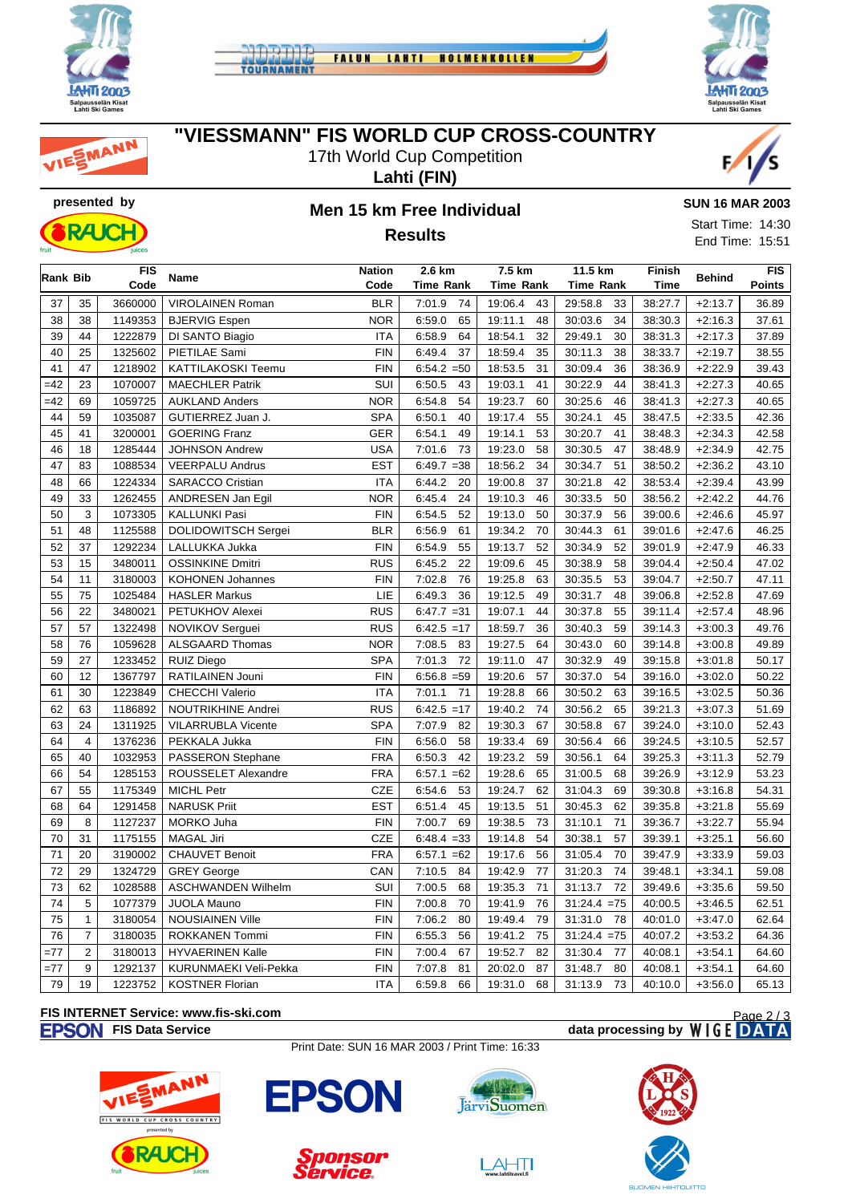

MANN





**"VIESSMANN" FIS WORLD CUP CROSS-COUNTRY**

17th World Cup Competition

**Lahti (FIN)**



## **presented by Men 15 km Free Individual Results**



**SUN 16 MAR 2003**

Start Time: 14:30 End Time: 15:51

| Rank Bib |                | <b>FIS</b> | <b>Name</b>               | <b>Nation</b> | 2.6 km        | 7.5 km           | 11.5 km          | Finish      | <b>Behind</b> | <b>FIS</b>    |  |
|----------|----------------|------------|---------------------------|---------------|---------------|------------------|------------------|-------------|---------------|---------------|--|
|          |                | Code       |                           | Code          | Time Rank     | <b>Time Rank</b> | <b>Time Rank</b> | <b>Time</b> |               | <b>Points</b> |  |
| 37       | 35             | 3660000    | <b>VIROLAINEN Roman</b>   | <b>BLR</b>    | 7:01.9<br>74  | 19:06.4<br>43    | 29:58.8<br>33    | 38:27.7     | $+2:13.7$     | 36.89         |  |
| 38       | 38             | 1149353    | <b>BJERVIG Espen</b>      | <b>NOR</b>    | 6:59.0<br>65  | 19:11.1<br>48    | 30:03.6<br>34    | 38:30.3     | $+2:16.3$     | 37.61         |  |
| 39       | 44             | 1222879    | DI SANTO Biagio           | <b>ITA</b>    | 6:58.9<br>64  | 18:54.1<br>32    | 29:49.1<br>30    | 38:31.3     | $+2:17.3$     | 37.89         |  |
| 40       | 25             | 1325602    | PIETILAE Sami             | <b>FIN</b>    | 6:49.4<br>37  | 18:59.4<br>35    | 38<br>30:11.3    | 38:33.7     | $+2:19.7$     | 38.55         |  |
| 41       | 47             | 1218902    | KATTILAKOSKI Teemu        | <b>FIN</b>    | $6:54.2 = 50$ | 18:53.5<br>31    | 30:09.4<br>36    | 38:36.9     | $+2:22.9$     | 39.43         |  |
| $=42$    | 23             | 1070007    | <b>MAECHLER Patrik</b>    | SUI           | 6:50.5<br>43  | 19:03.1<br>41    | 30:22.9<br>44    | 38:41.3     | $+2:27.3$     | 40.65         |  |
| $=42$    | 69             | 1059725    | <b>AUKLAND Anders</b>     | <b>NOR</b>    | 6:54.8<br>54  | 19:23.7<br>60    | 30:25.6<br>46    | 38:41.3     | $+2:27.3$     | 40.65         |  |
| 44       | 59             | 1035087    | GUTIERREZ Juan J.         | <b>SPA</b>    | 6:50.1<br>40  | 19:17.4<br>55    | 30:24.1<br>45    | 38:47.5     | $+2:33.5$     | 42.36         |  |
| 45       | 41             | 3200001    | <b>GOERING Franz</b>      | <b>GER</b>    | 6:54.1<br>49  | 19:14.1<br>53    | 30:20.7<br>41    | 38:48.3     | $+2:34.3$     | 42.58         |  |
| 46       | 18             | 1285444    | <b>JOHNSON Andrew</b>     | <b>USA</b>    | 7:01.6<br>73  | 19:23.0<br>58    | 30:30.5<br>47    | 38:48.9     | $+2:34.9$     | 42.75         |  |
| 47       | 83             | 1088534    | <b>VEERPALU Andrus</b>    | <b>EST</b>    | $6:49.7 = 38$ | 18:56.2<br>34    | 30:34.7<br>51    | 38:50.2     | $+2:36.2$     | 43.10         |  |
| 48       | 66             | 1224334    | <b>SARACCO Cristian</b>   | <b>ITA</b>    | 6:44.2<br>20  | 19:00.8<br>37    | 30:21.8<br>42    | 38:53.4     | $+2:39.4$     | 43.99         |  |
| 49       | 33             | 1262455    | ANDRESEN Jan Egil         | <b>NOR</b>    | 6:45.4<br>24  | 19:10.3<br>46    | 30:33.5<br>50    | 38:56.2     | $+2:42.2$     | 44.76         |  |
| 50       | 3              | 1073305    | <b>KALLUNKI Pasi</b>      | <b>FIN</b>    | 52<br>6:54.5  | 50<br>19:13.0    | 56<br>30:37.9    | 39:00.6     | $+2:46.6$     | 45.97         |  |
| 51       | 48             | 1125588    | DOLIDOWITSCH Sergei       | <b>BLR</b>    | 6:56.9<br>61  | 19:34.2<br>70    | 30:44.3<br>61    | 39:01.6     | $+2:47.6$     | 46.25         |  |
| 52       | 37             | 1292234    | LALLUKKA Jukka            | <b>FIN</b>    | 6:54.9<br>55  | 19:13.7<br>52    | 30:34.9<br>52    | 39:01.9     | $+2:47.9$     | 46.33         |  |
| 53       | 15             | 3480011    | <b>OSSINKINE Dmitri</b>   | <b>RUS</b>    | 6:45.2<br>22  | 19:09.6<br>45    | 30:38.9<br>58    | 39:04.4     | $+2:50.4$     | 47.02         |  |
| 54       | 11             | 3180003    | <b>KOHONEN Johannes</b>   | <b>FIN</b>    | 7:02.8<br>76  | 19:25.8<br>63    | 30:35.5<br>53    | 39:04.7     | $+2:50.7$     | 47.11         |  |
| 55       | 75             | 1025484    | <b>HASLER Markus</b>      | LIE           | 6:49.3<br>36  | 19:12.5<br>49    | 30:31.7<br>48    | 39:06.8     | $+2:52.8$     | 47.69         |  |
| 56       | 22             | 3480021    | PETUKHOV Alexei           | <b>RUS</b>    | $6:47.7 = 31$ | 44<br>19:07.1    | 30:37.8<br>55    | 39:11.4     | $+2:57.4$     | 48.96         |  |
| 57       | 57             | 1322498    | NOVIKOV Serguei           | <b>RUS</b>    | $6:42.5 = 17$ | 18:59.7<br>36    | 59<br>30:40.3    | 39:14.3     | $+3:00.3$     | 49.76         |  |
| 58       | 76             | 1059628    | <b>ALSGAARD Thomas</b>    | <b>NOR</b>    | 7:08.5<br>83  | 19:27.5<br>64    | 30:43.0<br>60    | 39:14.8     | $+3:00.8$     | 49.89         |  |
| 59       | 27             | 1233452    | <b>RUIZ Diego</b>         | <b>SPA</b>    | 7:01.3<br>72  | 19:11.0<br>47    | 30:32.9<br>49    | 39:15.8     | $+3:01.8$     | 50.17         |  |
| 60       | 12             | 1367797    | RATILAINEN Jouni          | <b>FIN</b>    | $6:56.8 = 59$ | 19:20.6<br>57    | 54<br>30:37.0    | 39:16.0     | $+3:02.0$     | 50.22         |  |
| 61       | 30             | 1223849    | <b>CHECCHI Valerio</b>    | <b>ITA</b>    | 71<br>7:01.1  | 19:28.8<br>66    | 63<br>30:50.2    | 39:16.5     | $+3:02.5$     | 50.36         |  |
| 62       | 63             | 1186892    | NOUTRIKHINE Andrei        | <b>RUS</b>    | $6:42.5 = 17$ | 19:40.2<br>74    | 30:56.2<br>65    | 39:21.3     | $+3:07.3$     | 51.69         |  |
| 63       | 24             | 1311925    | <b>VILARRUBLA Vicente</b> | <b>SPA</b>    | 7:07.9<br>82  | 19:30.3<br>67    | 30:58.8<br>67    | 39:24.0     | $+3:10.0$     | 52.43         |  |
| 64       | $\overline{4}$ | 1376236    | PEKKALA Jukka             | <b>FIN</b>    | 6:56.0<br>58  | 19:33.4<br>69    | 66<br>30:56.4    | 39:24.5     | $+3:10.5$     | 52.57         |  |
| 65       | 40             | 1032953    | PASSERON Stephane         | <b>FRA</b>    | 42<br>6:50.3  | 19:23.2<br>59    | 30:56.1<br>64    | 39:25.3     | $+3:11.3$     | 52.79         |  |
| 66       | 54             | 1285153    | ROUSSELET Alexandre       | <b>FRA</b>    | $6:57.1 = 62$ | 19:28.6<br>65    | 31:00.5<br>68    | 39:26.9     | $+3:12.9$     | 53.23         |  |
| 67       | 55             | 1175349    | <b>MICHL Petr</b>         | <b>CZE</b>    | 6:54.6<br>53  | 19:24.7<br>62    | 31:04.3<br>69    | 39:30.8     | $+3:16.8$     | 54.31         |  |
| 68       | 64             | 1291458    | <b>NARUSK Priit</b>       | <b>EST</b>    | 6:51.4<br>45  | 19:13.5<br>51    | 30:45.3<br>62    | 39:35.8     | $+3:21.8$     | 55.69         |  |
| 69       | 8              | 1127237    | MORKO Juha                | <b>FIN</b>    | 69<br>7:00.7  | 73<br>19:38.5    | 71<br>31:10.1    | 39:36.7     | $+3:22.7$     | 55.94         |  |
| 70       | 31             | 1175155    | <b>MAGAL Jiri</b>         | <b>CZE</b>    | $6:48.4 = 33$ | 19:14.8<br>54    | 30:38.1<br>57    | 39:39.1     | $+3:25.1$     | 56.60         |  |
| 71       | 20             | 3190002    | <b>CHAUVET Benoit</b>     | <b>FRA</b>    | $6:57.1 = 62$ | 19:17.6<br>56    | 31:05.4<br>70    | 39:47.9     | $+3:33.9$     | 59.03         |  |
| 72       | 29             | 1324729    | <b>GREY George</b>        | CAN           | 7:10.5<br>84  | 19:42.9<br>77    | 31:20.3<br>74    | 39:48.1     | $+3:34.1$     | 59.08         |  |
| 73       | 62             | 1028588    | <b>ASCHWANDEN Wilhelm</b> | SUI           | 7:00.5<br>68  | 19:35.3<br>71    | 31:13.7<br>72    | 39:49.6     | $+3:35.6$     | 59.50         |  |
| 74       | 5              | 1077379    | <b>JUOLA Mauno</b>        | <b>FIN</b>    | 7:00.8<br>70  | 19:41.9<br>76    | 31:24.4<br>$=75$ | 40:00.5     | $+3:46.5$     | 62.51         |  |
| 75       | $\mathbf{1}$   | 3180054    | <b>NOUSIAINEN Ville</b>   | <b>FIN</b>    | 7:06.2<br>80  | 19:49.4<br>79    | 31:31.0<br>78    | 40:01.0     | $+3:47.0$     | 62.64         |  |
| 76       | $\overline{7}$ | 3180035    | <b>ROKKANEN Tommi</b>     | <b>FIN</b>    | 6:55.3<br>56  | 19:41.2<br>75    | $31:24.4 = 75$   | 40:07.2     | $+3:53.2$     | 64.36         |  |
| $=77$    | $\overline{2}$ | 3180013    | <b>HYVAERINEN Kalle</b>   | <b>FIN</b>    | 7:00.4<br>67  | 19:52.7<br>82    | 31:30.4<br>77    | 40:08.1     | $+3:54.1$     | 64.60         |  |
| $=77$    | 9              | 1292137    | KURUNMAEKI Veli-Pekka     | <b>FIN</b>    | 7:07.8<br>81  | 87<br>20:02.0    | 31:48.7<br>80    | 40:08.1     | $+3:54.1$     | 64.60         |  |
| 79       | 19             | 1223752    | <b>KOSTNER Florian</b>    | <b>ITA</b>    | 6:59.8<br>66  | 68<br>19:31.0    | 31:13.9<br>73    | 40:10.0     | $+3:56.0$     | 65.13         |  |

# **FIS INTERNET Service: www.fis-ski.com**

#### **FIS Data Service data processing by**

Print Date: SUN 16 MAR 2003 / Print Time: 16:33







 $\boxed{\underset{\text{www labititave} \text{15}}{\triangle \qquad \qquad }}$ 



Page 2 / 3

vice.